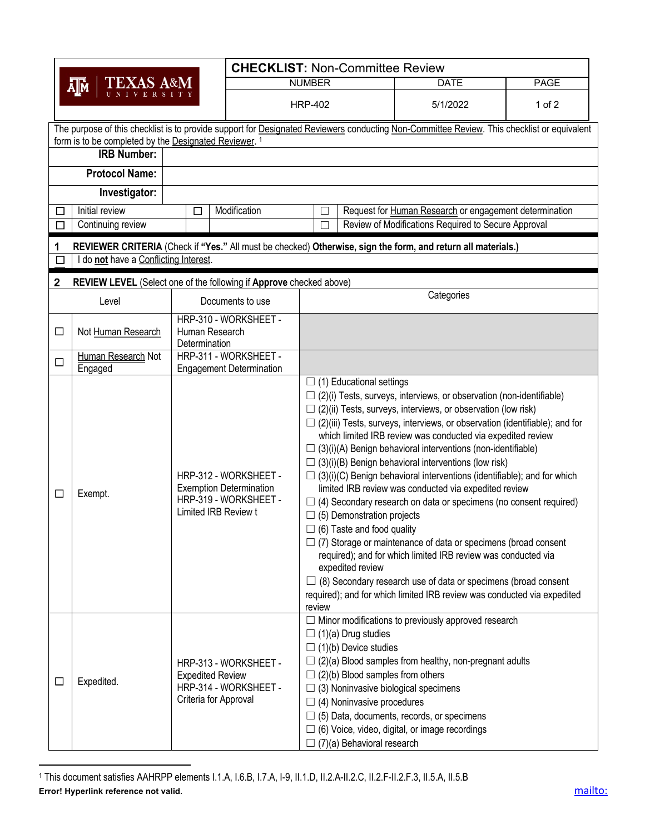| <b>CHECKLIST: Non-Committee Review</b>                                                                            |                                                                                                                                            |                                                                                                          |                                                                                                                                                                                                                                                             |                                                                                                                                                                                                                                                                                                                                                                                                                                                                                                                                                                                                                                                                                                                                                                                                                                                                                                                                                              |             |  |  |  |  |  |  |
|-------------------------------------------------------------------------------------------------------------------|--------------------------------------------------------------------------------------------------------------------------------------------|----------------------------------------------------------------------------------------------------------|-------------------------------------------------------------------------------------------------------------------------------------------------------------------------------------------------------------------------------------------------------------|--------------------------------------------------------------------------------------------------------------------------------------------------------------------------------------------------------------------------------------------------------------------------------------------------------------------------------------------------------------------------------------------------------------------------------------------------------------------------------------------------------------------------------------------------------------------------------------------------------------------------------------------------------------------------------------------------------------------------------------------------------------------------------------------------------------------------------------------------------------------------------------------------------------------------------------------------------------|-------------|--|--|--|--|--|--|
|                                                                                                                   | <b>TEXAS A&amp;M</b><br>ĀJи                                                                                                                |                                                                                                          | <b>NUMBER</b>                                                                                                                                                                                                                                               |                                                                                                                                                                                                                                                                                                                                                                                                                                                                                                                                                                                                                                                                                                                                                                                                                                                                                                                                                              | <b>PAGE</b> |  |  |  |  |  |  |
|                                                                                                                   |                                                                                                                                            |                                                                                                          | <b>HRP-402</b>                                                                                                                                                                                                                                              |                                                                                                                                                                                                                                                                                                                                                                                                                                                                                                                                                                                                                                                                                                                                                                                                                                                                                                                                                              | $1$ of $2$  |  |  |  |  |  |  |
|                                                                                                                   | The purpose of this checklist is to provide support for Designated Reviewers conducting Non-Committee Review. This checklist or equivalent |                                                                                                          |                                                                                                                                                                                                                                                             |                                                                                                                                                                                                                                                                                                                                                                                                                                                                                                                                                                                                                                                                                                                                                                                                                                                                                                                                                              |             |  |  |  |  |  |  |
|                                                                                                                   | form is to be completed by the Designated Reviewer. 1<br><b>IRB Number:</b>                                                                |                                                                                                          |                                                                                                                                                                                                                                                             |                                                                                                                                                                                                                                                                                                                                                                                                                                                                                                                                                                                                                                                                                                                                                                                                                                                                                                                                                              |             |  |  |  |  |  |  |
|                                                                                                                   | <b>Protocol Name:</b>                                                                                                                      |                                                                                                          |                                                                                                                                                                                                                                                             |                                                                                                                                                                                                                                                                                                                                                                                                                                                                                                                                                                                                                                                                                                                                                                                                                                                                                                                                                              |             |  |  |  |  |  |  |
|                                                                                                                   | Investigator:                                                                                                                              |                                                                                                          |                                                                                                                                                                                                                                                             |                                                                                                                                                                                                                                                                                                                                                                                                                                                                                                                                                                                                                                                                                                                                                                                                                                                                                                                                                              |             |  |  |  |  |  |  |
| □                                                                                                                 | Initial review                                                                                                                             | Modification<br>$\Box$                                                                                   | Request for Human Research or engagement determination                                                                                                                                                                                                      |                                                                                                                                                                                                                                                                                                                                                                                                                                                                                                                                                                                                                                                                                                                                                                                                                                                                                                                                                              |             |  |  |  |  |  |  |
| $\Box$                                                                                                            | Continuing review                                                                                                                          |                                                                                                          | Review of Modifications Required to Secure Approval                                                                                                                                                                                                         |                                                                                                                                                                                                                                                                                                                                                                                                                                                                                                                                                                                                                                                                                                                                                                                                                                                                                                                                                              |             |  |  |  |  |  |  |
| REVIEWER CRITERIA (Check if "Yes." All must be checked) Otherwise, sign the form, and return all materials.)<br>1 |                                                                                                                                            |                                                                                                          |                                                                                                                                                                                                                                                             |                                                                                                                                                                                                                                                                                                                                                                                                                                                                                                                                                                                                                                                                                                                                                                                                                                                                                                                                                              |             |  |  |  |  |  |  |
| do not have a Conflicting Interest.                                                                               |                                                                                                                                            |                                                                                                          |                                                                                                                                                                                                                                                             |                                                                                                                                                                                                                                                                                                                                                                                                                                                                                                                                                                                                                                                                                                                                                                                                                                                                                                                                                              |             |  |  |  |  |  |  |
| REVIEW LEVEL (Select one of the following if Approve checked above)<br>2                                          |                                                                                                                                            |                                                                                                          |                                                                                                                                                                                                                                                             |                                                                                                                                                                                                                                                                                                                                                                                                                                                                                                                                                                                                                                                                                                                                                                                                                                                                                                                                                              |             |  |  |  |  |  |  |
|                                                                                                                   | Level                                                                                                                                      | Documents to use                                                                                         | Categories                                                                                                                                                                                                                                                  |                                                                                                                                                                                                                                                                                                                                                                                                                                                                                                                                                                                                                                                                                                                                                                                                                                                                                                                                                              |             |  |  |  |  |  |  |
|                                                                                                                   |                                                                                                                                            | HRP-310 - WORKSHEET -                                                                                    |                                                                                                                                                                                                                                                             |                                                                                                                                                                                                                                                                                                                                                                                                                                                                                                                                                                                                                                                                                                                                                                                                                                                                                                                                                              |             |  |  |  |  |  |  |
| □                                                                                                                 | Not Human Research                                                                                                                         | Human Research<br>Determination                                                                          |                                                                                                                                                                                                                                                             |                                                                                                                                                                                                                                                                                                                                                                                                                                                                                                                                                                                                                                                                                                                                                                                                                                                                                                                                                              |             |  |  |  |  |  |  |
| $\Box$                                                                                                            | Human Research Not                                                                                                                         | HRP-311 - WORKSHEET -                                                                                    |                                                                                                                                                                                                                                                             |                                                                                                                                                                                                                                                                                                                                                                                                                                                                                                                                                                                                                                                                                                                                                                                                                                                                                                                                                              |             |  |  |  |  |  |  |
|                                                                                                                   | Engaged                                                                                                                                    | <b>Engagement Determination</b>                                                                          | $\Box$ (1) Educational settings                                                                                                                                                                                                                             |                                                                                                                                                                                                                                                                                                                                                                                                                                                                                                                                                                                                                                                                                                                                                                                                                                                                                                                                                              |             |  |  |  |  |  |  |
| $\Box$                                                                                                            | Exempt.                                                                                                                                    | HRP-312 - WORKSHEET -<br><b>Exemption Determination</b><br>HRP-319 - WORKSHEET -<br>Limited IRB Review t | $\Box$ (5) Demonstration projects<br>$\Box$ (6) Taste and food quality<br>expedited review<br>review                                                                                                                                                        | $\Box$ (2)(i) Tests, surveys, interviews, or observation (non-identifiable)<br>$\Box$ (2)(ii) Tests, surveys, interviews, or observation (low risk)<br>$\Box$ (2)(iii) Tests, surveys, interviews, or observation (identifiable); and for<br>which limited IRB review was conducted via expedited review<br>$\Box$ (3)(i)(A) Benign behavioral interventions (non-identifiable)<br>$\Box$ (3)(i)(B) Benign behavioral interventions (low risk)<br>$\Box$ (3)(i)(C) Benign behavioral interventions (identifiable); and for which<br>limited IRB review was conducted via expedited review<br>$\Box$ (4) Secondary research on data or specimens (no consent required)<br>$\Box$ (7) Storage or maintenance of data or specimens (broad consent<br>required); and for which limited IRB review was conducted via<br>(8) Secondary research use of data or specimens (broad consent<br>required); and for which limited IRB review was conducted via expedited |             |  |  |  |  |  |  |
| $\Box$                                                                                                            | Expedited.                                                                                                                                 | HRP-313 - WORKSHEET -<br><b>Expedited Review</b><br>HRP-314 - WORKSHEET -<br>Criteria for Approval       | $\Box$ (1)(a) Drug studies<br>(1)(b) Device studies<br>(2)(b) Blood samples from others<br>(3) Noninvasive biological specimens<br>(4) Noninvasive procedures<br>$\Box$ (6) Voice, video, digital, or image recordings<br>$\Box$ (7)(a) Behavioral research | Minor modifications to previously approved research<br>(2)(a) Blood samples from healthy, non-pregnant adults<br>(5) Data, documents, records, or specimens                                                                                                                                                                                                                                                                                                                                                                                                                                                                                                                                                                                                                                                                                                                                                                                                  |             |  |  |  |  |  |  |

**Error! Hyperlink reference not valid.** mailto: mailto: mailto: mailto: mailto: mailto: mailto: mailto: mailto: mailto: mailto: mailto: mailto: mailto: mailto: mailto: mailto: mailto: mailto: mailto: mailto: mailto: mailto <sup>1</sup> This document satisfies AAHRPP elements I.1.A, I.6.B, I.7.A, I-9, II.1.D, II.2.A-II.2.C, II.2.F-II.2.F.3, II.5.A, II.5.B